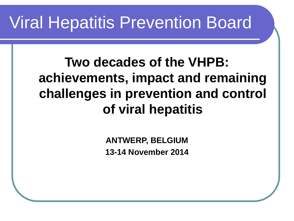#### Viral Hepatitis Prevention Board

#### **Two decades of the VHPB: achievements, impact and remaining challenges in prevention and control of viral hepatitis**

**ANTWERP, BELGIUM 13-14 November 2014**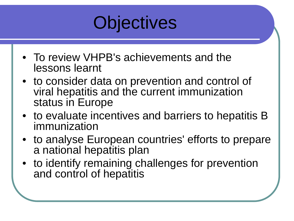

- To review VHPB's achievements and the lessons learnt
- to consider data on prevention and control of viral hepatitis and the current immunization status in Europe
- to evaluate incentives and barriers to hepatitis B immunization
- to analyse European countries' efforts to prepare a national hepatitis plan
- to identify remaining challenges for prevention and control of hepatitis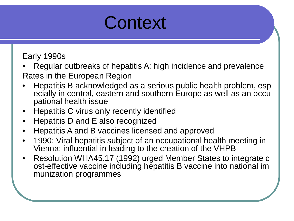

Early 1990s

- Regular outbreaks of hepatitis A; high incidence and prevalence
- Rates in the European Region
- Hepatitis B acknowledged as a serious public health problem, esp ecially in central, eastern and southern Europe as well as an occu pational health issue
- Hepatitis C virus only recently identified
- Hepatitis D and E also recognized
- Hepatitis A and B vaccines licensed and approved
- 1990: Viral hepatitis subject of an occupational health meeting in Vienna; influential in leading to the creation of the VHPB
- Resolution WHA45.17 (1992) urged Member States to integrate c ost-effective vaccine including hepatitis B vaccine into national im munization programmes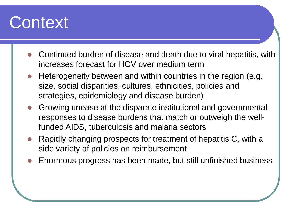#### **Context**

- Continued burden of disease and death due to viral hepatitis, with increases forecast for HCV over medium term
- Heterogeneity between and within countries in the region (e.g. size, social disparities, cultures, ethnicities, policies and strategies, epidemiology and disease burden)
- Growing unease at the disparate institutional and governmental responses to disease burdens that match or outweigh the wellfunded AIDS, tuberculosis and malaria sectors
- Rapidly changing prospects for treatment of hepatitis C, with a side variety of policies on reimbursement
- Enormous progress has been made, but still unfinished business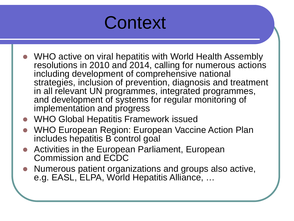#### **Context**

- WHO active on viral hepatitis with World Health Assembly resolutions in 2010 and 2014, calling for numerous actions including development of comprehensive national strategies, inclusion of prevention, diagnosis and treatment in all relevant UN programmes, integrated programmes, and development of systems for regular monitoring of implementation and progress
- WHO Global Hepatitis Framework issued
- WHO European Region: European Vaccine Action Plan includes hepatitis B control goal
- Activities in the European Parliament, European Commission and ECDC
- Numerous patient organizations and groups also active, e.g. EASL, ELPA, World Hepatitis Alliance, …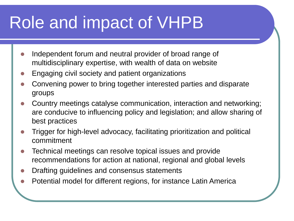# Role and impact of VHPB

- Independent forum and neutral provider of broad range of multidisciplinary expertise, with wealth of data on website
- Engaging civil society and patient organizations
- Convening power to bring together interested parties and disparate groups
- Country meetings catalyse communication, interaction and networking; are conducive to influencing policy and legislation; and allow sharing of best practices
- Trigger for high-level advocacy, facilitating prioritization and political commitment
- Technical meetings can resolve topical issues and provide recommendations for action at national, regional and global levels
- Drafting guidelines and consensus statements
- Potential model for different regions, for instance Latin America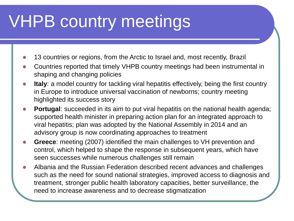# VHPB country meetings

- 13 countries or regions, from the Arctic to Israel and, most recently, Brazil
- Countries reported that timely VHPB country meetings had been instrumental in shaping and changing policies
- **Italy**: a model country for tackling viral hepatitis effectively, being the first country in Europe to introduce universal vaccination of newborns; country meeting highlighted its success story
- **Portugal:** succeeded in its aim to put viral hepatitis on the national health agenda; supported health minister in preparing action plan for an integrated approach to viral hepatitis; plan was adopted by the National Assembly in 2014 and an advisory group is now coordinating approaches to treatment
- **Greece**: meeting (2007) identified the main challenges to VH prevention and control, which helped to shape the response in subsequent years, which have seen successes while numerous challenges still remain
- Albania and the Russian Federation described recent advances and challenges such as the need for sound national strategies, improved access to diagnosis and treatment, stronger public health laboratory capacities, better surveillance, the need to increase awareness and to decrease stigmatization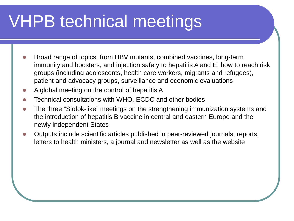# VHPB technical meetings

- Broad range of topics, from HBV mutants, combined vaccines, long-term immunity and boosters, and injection safety to hepatitis A and E, how to reach risk groups (including adolescents, health care workers, migrants and refugees), patient and advocacy groups, surveillance and economic evaluations
- A global meeting on the control of hepatitis A
- Technical consultations with WHO, ECDC and other bodies
- The three "Siofok-like" meetings on the strengthening immunization systems and the introduction of hepatitis B vaccine in central and eastern Europe and the newly independent States
- Outputs include scientific articles published in peer-reviewed journals, reports, letters to health ministers, a journal and newsletter as well as the website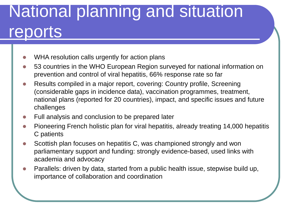# National planning and situation reports

- WHA resolution calls urgently for action plans
- 53 countries in the WHO European Region surveyed for national information on prevention and control of viral hepatitis, 66% response rate so far
- Results compiled in a major report, covering: Country profile, Screening (considerable gaps in incidence data), vaccination programmes, treatment, national plans (reported for 20 countries), impact, and specific issues and future challenges
- Full analysis and conclusion to be prepared later
- Pioneering French holistic plan for viral hepatitis, already treating 14,000 hepatitis C patients
- Scottish plan focuses on hepatitis C, was championed strongly and won parliamentary support and funding: strongly evidence-based, used links with academia and advocacy
- Parallels: driven by data, started from a public health issue, stepwise build up, importance of collaboration and coordination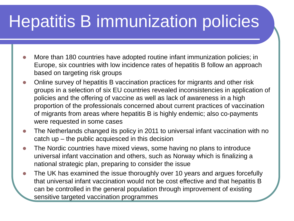# Hepatitis B immunization policies

- More than 180 countries have adopted routine infant immunization policies; in Europe, six countries with low incidence rates of hepatitis B follow an approach based on targeting risk groups
- Online survey of hepatitis B vaccination practices for migrants and other risk groups in a selection of six EU countries revealed inconsistencies in application of policies and the offering of vaccine as well as lack of awareness in a high proportion of the professionals concerned about current practices of vaccination of migrants from areas where hepatitis B is highly endemic; also co-payments were requested in some cases
- The Netherlands changed its policy in 2011 to universal infant vaccination with no catch up – the public acquiesced in this decision
- The Nordic countries have mixed views, some having no plans to introduce universal infant vaccination and others, such as Norway which is finalizing a national strategic plan, preparing to consider the issue
- The UK has examined the issue thoroughly over 10 years and argues forcefully that universal infant vaccination would not be cost effective and that hepatitis B can be controlled in the general population through improvement of existing sensitive targeted vaccination programmes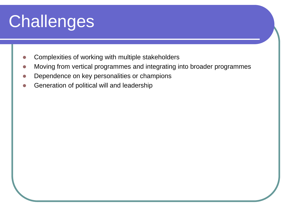# **Challenges**

- Complexities of working with multiple stakeholders
- Moving from vertical programmes and integrating into broader programmes
- Dependence on key personalities or champions
- Generation of political will and leadership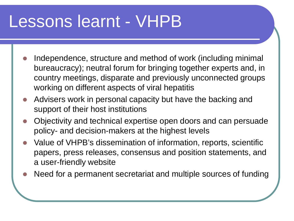#### Lessons learnt - VHPB

- Independence, structure and method of work (including minimal bureaucracy); neutral forum for bringing together experts and, in country meetings, disparate and previously unconnected groups working on different aspects of viral hepatitis
- Advisers work in personal capacity but have the backing and support of their host institutions
- Objectivity and technical expertise open doors and can persuade policy- and decision-makers at the highest levels
- Value of VHPB's dissemination of information, reports, scientific papers, press releases, consensus and position statements, and a user-friendly website
- Need for a permanent secretariat and multiple sources of funding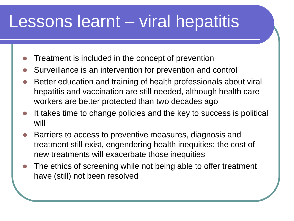#### Lessons learnt – viral hepatitis

- Treatment is included in the concept of prevention
- Surveillance is an intervention for prevention and control
- Better education and training of health professionals about viral hepatitis and vaccination are still needed, although health care workers are better protected than two decades ago
- It takes time to change policies and the key to success is political will
- Barriers to access to preventive measures, diagnosis and treatment still exist, engendering health inequities; the cost of new treatments will exacerbate those inequities
- The ethics of screening while not being able to offer treatment have (still) not been resolved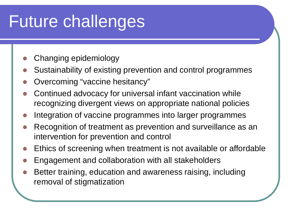# Future challenges

- Changing epidemiology
- Sustainability of existing prevention and control programmes
- Overcoming "vaccine hesitancy"
- Continued advocacy for universal infant vaccination while recognizing divergent views on appropriate national policies
- Integration of vaccine programmes into larger programmes
- Recognition of treatment as prevention and surveillance as an intervention for prevention and control
- Ethics of screening when treatment is not available or affordable
- Engagement and collaboration with all stakeholders
- Better training, education and awareness raising, including removal of stigmatization